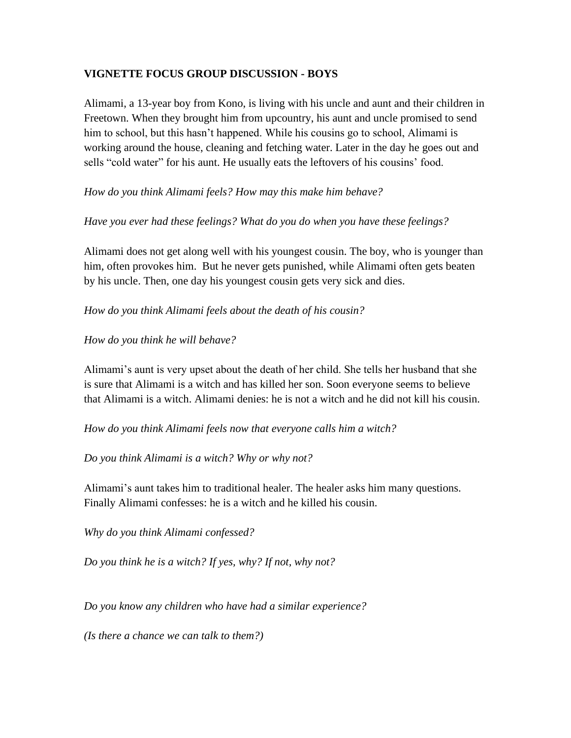# **VIGNETTE FOCUS GROUP DISCUSSION - BOYS**

Alimami, a 13-year boy from Kono, is living with his uncle and aunt and their children in Freetown. When they brought him from upcountry, his aunt and uncle promised to send him to school, but this hasn't happened. While his cousins go to school, Alimami is working around the house, cleaning and fetching water. Later in the day he goes out and sells "cold water" for his aunt. He usually eats the leftovers of his cousins' food.

# *How do you think Alimami feels? How may this make him behave?*

# *Have you ever had these feelings? What do you do when you have these feelings?*

Alimami does not get along well with his youngest cousin. The boy, who is younger than him, often provokes him. But he never gets punished, while Alimami often gets beaten by his uncle. Then, one day his youngest cousin gets very sick and dies.

# *How do you think Alimami feels about the death of his cousin?*

# *How do you think he will behave?*

Alimami's aunt is very upset about the death of her child. She tells her husband that she is sure that Alimami is a witch and has killed her son. Soon everyone seems to believe that Alimami is a witch. Alimami denies: he is not a witch and he did not kill his cousin.

*How do you think Alimami feels now that everyone calls him a witch?*

*Do you think Alimami is a witch? Why or why not?*

Alimami's aunt takes him to traditional healer. The healer asks him many questions. Finally Alimami confesses: he is a witch and he killed his cousin.

*Why do you think Alimami confessed?*

*Do you think he is a witch? If yes, why? If not, why not?* 

*Do you know any children who have had a similar experience?*

*(Is there a chance we can talk to them?)*